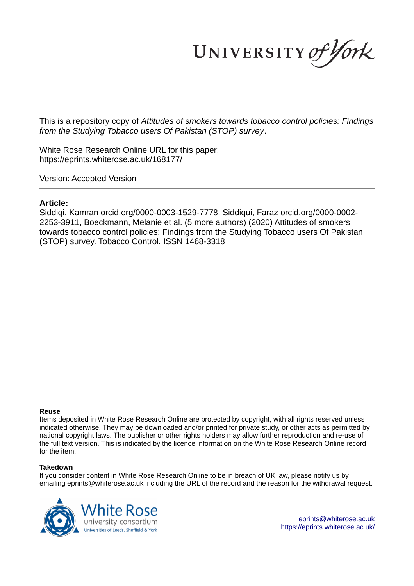UNIVERSITY of York

This is a repository copy of *Attitudes of smokers towards tobacco control policies: Findings from the Studying Tobacco users Of Pakistan (STOP) survey*.

White Rose Research Online URL for this paper: https://eprints.whiterose.ac.uk/168177/

Version: Accepted Version

## **Article:**

Siddiqi, Kamran orcid.org/0000-0003-1529-7778, Siddiqui, Faraz orcid.org/0000-0002- 2253-3911, Boeckmann, Melanie et al. (5 more authors) (2020) Attitudes of smokers towards tobacco control policies: Findings from the Studying Tobacco users Of Pakistan (STOP) survey. Tobacco Control. ISSN 1468-3318

#### **Reuse**

Items deposited in White Rose Research Online are protected by copyright, with all rights reserved unless indicated otherwise. They may be downloaded and/or printed for private study, or other acts as permitted by national copyright laws. The publisher or other rights holders may allow further reproduction and re-use of the full text version. This is indicated by the licence information on the White Rose Research Online record for the item.

#### **Takedown**

If you consider content in White Rose Research Online to be in breach of UK law, please notify us by emailing eprints@whiterose.ac.uk including the URL of the record and the reason for the withdrawal request.



eprints@whiterose.ac.uk https://eprints.whiterose.ac.uk/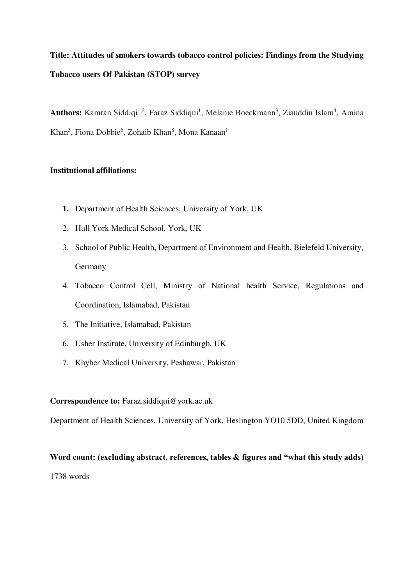# **Title: Attitudes of smokers towards tobacco control policies: Findings from the Studying Tobacco users Of Pakistan (STOP) survey**

Authors: Kamran Siddiqi<sup>1,2</sup>, Faraz Siddiqui<sup>1</sup>, Melanie Boeckmann<sup>3</sup>, Ziauddin Islam<sup>4</sup>, Amina Khan<sup>5</sup>, Fiona Dobbie<sup>6</sup>, Zohaib Khan<sup>8</sup>, Mona Kanaan<sup>1</sup>

# **Institutional affiliations:**

- **1.** Department of Health Sciences, University of York, UK
- 2. Hull York Medical School, York, UK
- 3. School of Public Health, Department of Environment and Health, Bielefeld University, Germany
- 4. Tobacco Control Cell, Ministry of National health Service, Regulations and Coordination, Islamabad, Pakistan
- 5. The Initiative, Islamabad, Pakistan
- 6. Usher Institute, University of Edinburgh, UK
- 7. Khyber Medical University, Peshawar, Pakistan

**Correspondence to:** Faraz.siddiqui@york.ac.uk

Department of Health Sciences, University of York, Heslington YO10 5DD, United Kingdom

# **Word count: (excluding abstract, references, tables & figures and "what this study adds)** 1738 words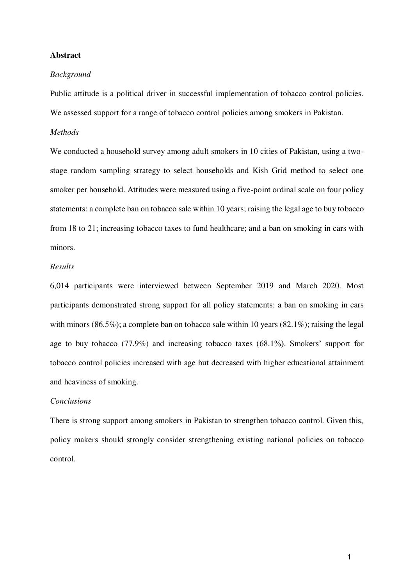# **Abstract**

## *Background*

Public attitude is a political driver in successful implementation of tobacco control policies. We assessed support for a range of tobacco control policies among smokers in Pakistan.

## *Methods*

We conducted a household survey among adult smokers in 10 cities of Pakistan, using a twostage random sampling strategy to select households and Kish Grid method to select one smoker per household. Attitudes were measured using a five-point ordinal scale on four policy statements: a complete ban on tobacco sale within 10 years; raising the legal age to buy tobacco from 18 to 21; increasing tobacco taxes to fund healthcare; and a ban on smoking in cars with minors.

# *Results*

6,014 participants were interviewed between September 2019 and March 2020. Most participants demonstrated strong support for all policy statements: a ban on smoking in cars with minors (86.5%); a complete ban on tobacco sale within 10 years (82.1%); raising the legal age to buy tobacco (77.9%) and increasing tobacco taxes (68.1%). Smokers' support for tobacco control policies increased with age but decreased with higher educational attainment and heaviness of smoking.

# *Conclusions*

There is strong support among smokers in Pakistan to strengthen tobacco control. Given this, policy makers should strongly consider strengthening existing national policies on tobacco control.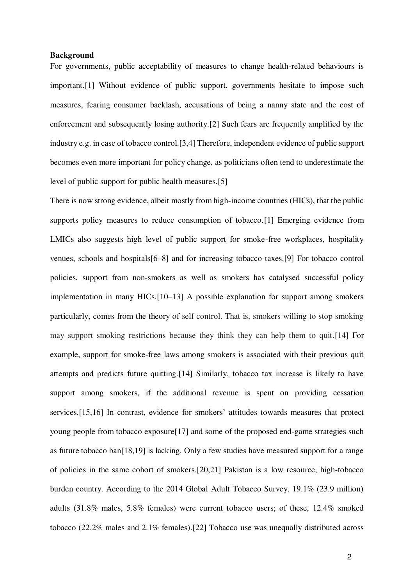### **Background**

For governments, public acceptability of measures to change health-related behaviours is important[.\[1\]](https://paperpile.com/c/cnKEzq/EvLdf) Without evidence of public support, governments hesitate to impose such measures, fearing consumer backlash, accusations of being a nanny state and the cost of enforcement and subsequently losing authority[.\[2\]](https://paperpile.com/c/cnKEzq/j6w00) Such fears are frequently amplified by the industry e.g. in case of tobacco control[.\[3,4\]](https://paperpile.com/c/cnKEzq/lBItC+q4nON) Therefore, independent evidence of public support becomes even more important for policy change, as politicians often tend to underestimate the level of public support for public health measures[.\[5\]](https://paperpile.com/c/cnKEzq/cmdU) 

There is now strong evidence, albeit mostly from high-income countries (HICs), that the public supports policy measures to reduce consumption of tobacco[.\[1\]](https://paperpile.com/c/cnKEzq/EvLdf) Emerging evidence from LMICs also suggests high level of public support for smoke-free workplaces, hospitality venues, schools and hospital[s\[6](https://paperpile.com/c/cnKEzq/sDQmW+qD1y6+NSd1w)–8] and for increasing tobacco taxes[.\[9\]](https://paperpile.com/c/cnKEzq/kwWH5) For tobacco control policies, support from non-smokers as well as smokers has catalysed successful policy implementation in many HICs.[10–[13\]](https://paperpile.com/c/cnKEzq/FlSdf+KfQsa+PwGqL+9cuSb) A possible explanation for support among smokers particularly, comes from the theory of self control. That is, smokers willing to stop smoking may support smoking restrictions because they think they can help them to quit[.\[14\]](https://paperpile.com/c/cnKEzq/wF0UJ) For example, support for smoke-free laws among smokers is associated with their previous quit attempts and predicts future quitting[.\[14\]](https://paperpile.com/c/cnKEzq/wF0UJ) Similarly, tobacco tax increase is likely to have support among smokers, if the additional revenue is spent on providing cessation services[.\[15,16\]](https://paperpile.com/c/cnKEzq/dcRHv+BlDwF) In contrast, evidence for smokers' attitudes towards measures that protect young people from tobacco exposur[e\[17\]](https://paperpile.com/c/cnKEzq/POank) and some of the proposed end-game strategies such as future tobacco ba[n\[18,19\]](https://paperpile.com/c/cnKEzq/jvK2j+tICDj) is lacking. Only a few studies have measured support for a range of policies in the same cohort of smokers[.\[20,21\]](https://paperpile.com/c/cnKEzq/8DDbQ+fPZq8) Pakistan is a low resource, high-tobacco burden country. According to the 2014 Global Adult Tobacco Survey, 19.1% (23.9 million) adults (31.8% males, 5.8% females) were current tobacco users; of these, 12.4% smoked tobacco (22.2% males and 2.1% females)[.\[22\]](https://paperpile.com/c/cnKEzq/2bZp8) Tobacco use was unequally distributed across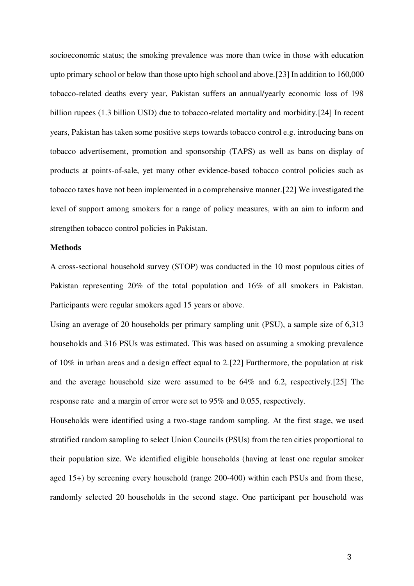socioeconomic status; the smoking prevalence was more than twice in those with education upto primary school or below than those upto high school and above[.\[23\] I](https://paperpile.com/c/cnKEzq/MwHxA)n addition to 160,000 tobacco-related deaths every year, Pakistan suffers an annual/yearly economic loss of 198 billion rupees (1.3 billion USD) due to tobacco-related mortality and morbidity[.\[24\]](https://paperpile.com/c/cnKEzq/UdFT0) In recent years, Pakistan has taken some positive steps towards tobacco control e.g. introducing bans on tobacco advertisement, promotion and sponsorship (TAPS) as well as bans on display of products at points-of-sale, yet many other evidence-based tobacco control policies such as tobacco taxes have not been implemented in a comprehensive manner[.\[22\]](https://paperpile.com/c/cnKEzq/2bZp8) We investigated the level of support among smokers for a range of policy measures, with an aim to inform and strengthen tobacco control policies in Pakistan.

# **Methods**

A cross-sectional household survey (STOP) was conducted in the 10 most populous cities of Pakistan representing 20% of the total population and 16% of all smokers in Pakistan. Participants were regular smokers aged 15 years or above.

Using an average of 20 households per primary sampling unit (PSU), a sample size of 6,313 households and 316 PSUs was estimated. This was based on assuming a smoking prevalence of 10% in urban areas and a design effect equal to 2[.\[22\]](https://paperpile.com/c/cnKEzq/2bZp8) Furthermore, the population at risk and the average household size were assumed to be 64% and 6.2, respectively[.\[25\]](https://paperpile.com/c/cnKEzq/9C5Y3) The response rate and a margin of error were set to 95% and 0.055, respectively.

Households were identified using a two-stage random sampling. At the first stage, we used stratified random sampling to select Union Councils (PSUs) from the ten cities proportional to their population size. We identified eligible households (having at least one regular smoker aged 15+) by screening every household (range 200-400) within each PSUs and from these, randomly selected 20 households in the second stage. One participant per household was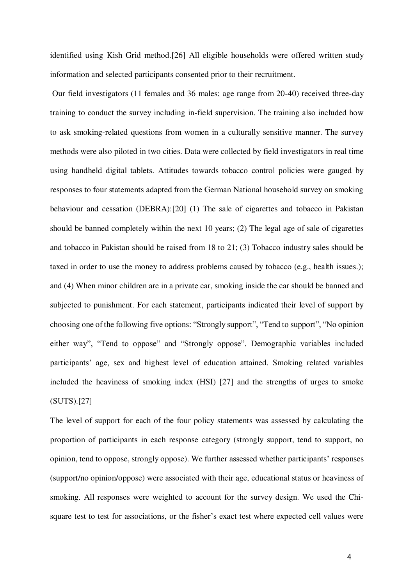identified using Kish Grid method[.\[26\]](https://paperpile.com/c/cnKEzq/XrsqI) All eligible households were offered written study information and selected participants consented prior to their recruitment.

 Our field investigators (11 females and 36 males; age range from 20-40) received three-day training to conduct the survey including in-field supervision. The training also included how to ask smoking-related questions from women in a culturally sensitive manner. The survey methods were also piloted in two cities. Data were collected by field investigators in real time using handheld digital tablets. Attitudes towards tobacco control policies were gauged by responses to four statements adapted from the German National household survey on smoking behaviour and cessation (DEBRA)[:\[20\]](https://paperpile.com/c/cnKEzq/8DDbQ) (1) The sale of cigarettes and tobacco in Pakistan should be banned completely within the next 10 years; (2) The legal age of sale of cigarettes and tobacco in Pakistan should be raised from 18 to 21; (3) Tobacco industry sales should be taxed in order to use the money to address problems caused by tobacco (e.g., health issues.); and (4) When minor children are in a private car, smoking inside the car should be banned and subjected to punishment. For each statement, participants indicated their level of support by choosing one of the following five options: "Strongly support", "Tend to support", "No opinion either way", "Tend to oppose" and "Strongly oppose". Demographic variables included participants' age, sex and highest level of education attained. Smoking related variables included the heaviness of smoking index (HSI) [\[27\]](https://paperpile.com/c/cnKEzq/ik8ZD) and the strengths of urges to smoke (SUTS)[.\[27\]](https://paperpile.com/c/cnKEzq/ik8ZD) 

The level of support for each of the four policy statements was assessed by calculating the proportion of participants in each response category (strongly support, tend to support, no opinion, tend to oppose, strongly oppose). We further assessed whether participants' responses (support/no opinion/oppose) were associated with their age, educational status or heaviness of smoking. All responses were weighted to account for the survey design. We used the Chisquare test to test for associations, or the fisher's exact test where expected cell values were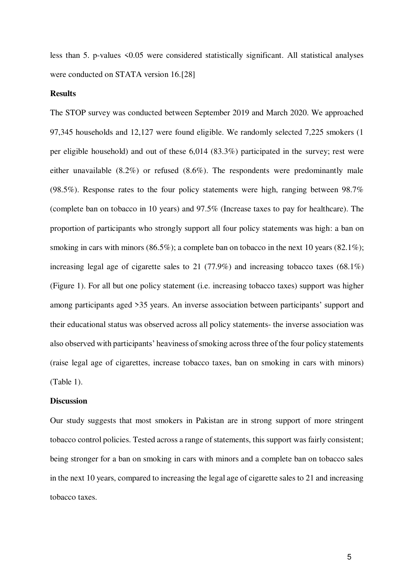less than 5. p-values <0.05 were considered statistically significant. All statistical analyses were conducted on STATA version 16[.\[28\]](https://paperpile.com/c/cnKEzq/SpMDU) 

### **Results**

The STOP survey was conducted between September 2019 and March 2020. We approached 97,345 households and 12,127 were found eligible. We randomly selected 7,225 smokers (1 per eligible household) and out of these 6,014 (83.3%) participated in the survey; rest were either unavailable (8.2%) or refused (8.6%). The respondents were predominantly male (98.5%). Response rates to the four policy statements were high, ranging between 98.7% (complete ban on tobacco in 10 years) and 97.5% (Increase taxes to pay for healthcare). The proportion of participants who strongly support all four policy statements was high: a ban on smoking in cars with minors (86.5%); a complete ban on tobacco in the next 10 years (82.1%); increasing legal age of cigarette sales to 21 (77.9%) and increasing tobacco taxes (68.1%) (Figure 1). For all but one policy statement (i.e. increasing tobacco taxes) support was higher among participants aged >35 years. An inverse association between participants' support and their educational status was observed across all policy statements- the inverse association was also observed with participants' heaviness of smoking across three of the four policy statements (raise legal age of cigarettes, increase tobacco taxes, ban on smoking in cars with minors) (Table 1).

# **Discussion**

Our study suggests that most smokers in Pakistan are in strong support of more stringent tobacco control policies. Tested across a range of statements, this support was fairly consistent; being stronger for a ban on smoking in cars with minors and a complete ban on tobacco sales in the next 10 years, compared to increasing the legal age of cigarette sales to 21 and increasing tobacco taxes.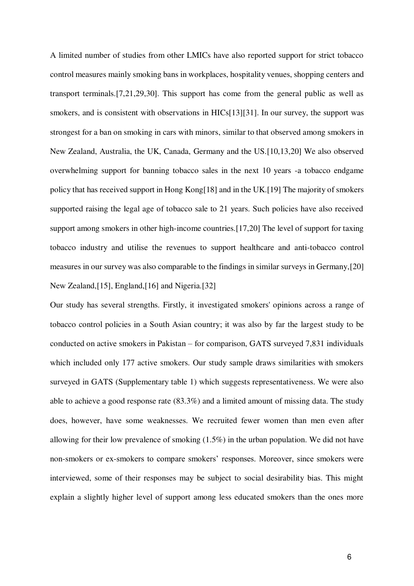A limited number of studies from other LMICs have also reported support for strict tobacco control measures mainly smoking bans in workplaces, hospitality venues, shopping centers and transport terminals[.\[7,21,29,30\].](https://paperpile.com/c/cnKEzq/UZV1N+GDEJ7+fPZq8+qD1y6) This support has come from the general public as well as smokers, and is consistent with observations in HIC[s\[13\]](https://paperpile.com/c/cnKEzq/9cuSb)[\[31\].](https://paperpile.com/c/cnKEzq/bRR60) In our survey, the support was strongest for a ban on smoking in cars with minors, similar to that observed among smokers in New Zealand, Australia, the UK, Canada, Germany and the US[.\[10,13,20\]](https://paperpile.com/c/cnKEzq/FlSdf+9cuSb+8DDbQ) We also observed overwhelming support for banning tobacco sales in the next 10 years -a tobacco endgame policy that has received support in Hong Kon[g\[18\]](https://paperpile.com/c/cnKEzq/jvK2j) and in the UK[.\[19\]](https://paperpile.com/c/cnKEzq/tICDj) The majority of smokers supported raising the legal age of tobacco sale to 21 years. Such policies have also received support among smokers in other high-income countries[.\[17,20\]](https://paperpile.com/c/cnKEzq/POank+8DDbQ) The level of support for taxing tobacco industry and utilise the revenues to support healthcare and anti-tobacco control measures in our survey was also comparable to the findings in similar surveys in Germany[,\[20\]](https://paperpile.com/c/cnKEzq/8DDbQ)  New Zealand[,\[15\],](https://paperpile.com/c/cnKEzq/dcRHv) England[,\[16\]](https://paperpile.com/c/cnKEzq/BlDwF) and Nigeria[.\[32\]](https://paperpile.com/c/cnKEzq/fl3Au) 

Our study has several strengths. Firstly, it investigated smokers' opinions across a range of tobacco control policies in a South Asian country; it was also by far the largest study to be conducted on active smokers in Pakistan – for comparison, GATS surveyed 7,831 individuals which included only 177 active smokers. Our study sample draws similarities with smokers surveyed in GATS (Supplementary table 1) which suggests representativeness. We were also able to achieve a good response rate (83.3%) and a limited amount of missing data. The study does, however, have some weaknesses. We recruited fewer women than men even after allowing for their low prevalence of smoking (1.5%) in the urban population. We did not have non-smokers or ex-smokers to compare smokers' responses. Moreover, since smokers were interviewed, some of their responses may be subject to social desirability bias. This might explain a slightly higher level of support among less educated smokers than the ones more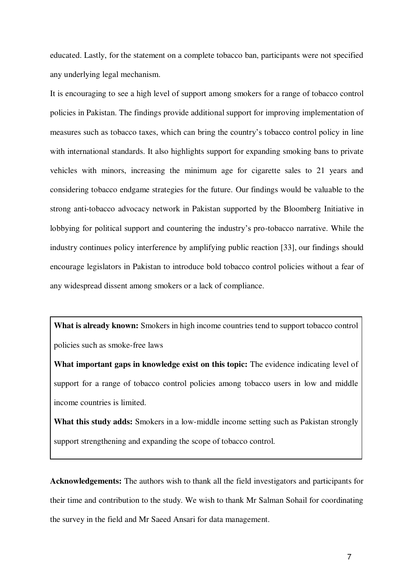educated. Lastly, for the statement on a complete tobacco ban, participants were not specified any underlying legal mechanism.

It is encouraging to see a high level of support among smokers for a range of tobacco control policies in Pakistan. The findings provide additional support for improving implementation of measures such as tobacco taxes, which can bring the country's tobacco control policy in line with international standards. It also highlights support for expanding smoking bans to private vehicles with minors, increasing the minimum age for cigarette sales to 21 years and considering tobacco endgame strategies for the future. Our findings would be valuable to the strong anti-tobacco advocacy network in Pakistan supported by the Bloomberg Initiative in lobbying for political support and countering the industry's pro-tobacco narrative. While the industry continues policy interference by amplifying public reaction [\[33\],](https://paperpile.com/c/cnKEzq/hccZ6) our findings should encourage legislators in Pakistan to introduce bold tobacco control policies without a fear of any widespread dissent among smokers or a lack of compliance.

**What is already known:** Smokers in high income countries tend to support tobacco control policies such as smoke-free laws

**What important gaps in knowledge exist on this topic:** The evidence indicating level of support for a range of tobacco control policies among tobacco users in low and middle income countries is limited.

**What this study adds:** Smokers in a low-middle income setting such as Pakistan strongly support strengthening and expanding the scope of tobacco control.

**Acknowledgements:** The authors wish to thank all the field investigators and participants for their time and contribution to the study. We wish to thank Mr Salman Sohail for coordinating the survey in the field and Mr Saeed Ansari for data management.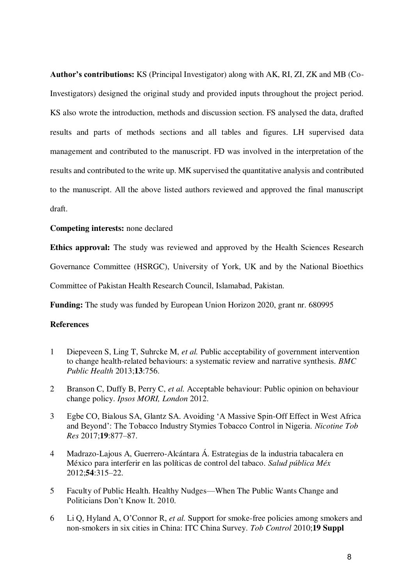**Author's contributions:** KS (Principal Investigator) along with AK, RI, ZI, ZK and MB (Co-Investigators) designed the original study and provided inputs throughout the project period. KS also wrote the introduction, methods and discussion section. FS analysed the data, drafted results and parts of methods sections and all tables and figures. LH supervised data management and contributed to the manuscript. FD was involved in the interpretation of the results and contributed to the write up. MK supervised the quantitative analysis and contributed to the manuscript. All the above listed authors reviewed and approved the final manuscript draft.

## **Competing interests:** none declared

**Ethics approval:** The study was reviewed and approved by the Health Sciences Research Governance Committee (HSRGC), University of York, UK and by the National Bioethics Committee of Pakistan Health Research Council, Islamabad, Pakistan.

**Funding:** The study was funded by European Union Horizon 2020, grant nr. 680995

# **References**

- 1 [Diepeveen S, Ling T, Suhrcke M,](http://paperpile.com/b/cnKEzq/EvLdf) *[et al.](http://paperpile.com/b/cnKEzq/EvLdf)* [Public acceptability of government intervention](http://paperpile.com/b/cnKEzq/EvLdf)  [to change health-related behaviours: a systematic review and narrative synthesis.](http://paperpile.com/b/cnKEzq/EvLdf) *[BMC](http://paperpile.com/b/cnKEzq/EvLdf)  [Public Health](http://paperpile.com/b/cnKEzq/EvLdf)* [2013;](http://paperpile.com/b/cnKEzq/EvLdf)**[13](http://paperpile.com/b/cnKEzq/EvLdf)**[:756.](http://paperpile.com/b/cnKEzq/EvLdf)
- 2 [Branson C, Duffy B, Perry C,](http://paperpile.com/b/cnKEzq/j6w00) *[et al.](http://paperpile.com/b/cnKEzq/j6w00)* [Acceptable behaviour: Public opinion on behaviour](http://paperpile.com/b/cnKEzq/j6w00)  [change policy.](http://paperpile.com/b/cnKEzq/j6w00) *[Ipsos MORI, London](http://paperpile.com/b/cnKEzq/j6w00)* [2012.](http://paperpile.com/b/cnKEzq/j6w00)
- 3 [Egbe CO, Bialous SA, Glantz SA. Avoiding 'A Massive Spin](http://paperpile.com/b/cnKEzq/lBItC)-Off Effect in West Africa [and Beyond': The Tobacco Industry Stymies Tobacco Control in Nigeria.](http://paperpile.com/b/cnKEzq/lBItC) *[Nicotine Tob](http://paperpile.com/b/cnKEzq/lBItC)  [Res](http://paperpile.com/b/cnKEzq/lBItC)* [2017;](http://paperpile.com/b/cnKEzq/lBItC)**[19](http://paperpile.com/b/cnKEzq/lBItC)**[:877](http://paperpile.com/b/cnKEzq/lBItC)–87.
- 4 [Madrazo-Lajous A, Guerrero-Alcántara Á. Estrategias de la industria tabacalera en](http://paperpile.com/b/cnKEzq/q4nON)  [México para interferir en las políticas de control del tabaco.](http://paperpile.com/b/cnKEzq/q4nON) *[Salud pública Méx](http://paperpile.com/b/cnKEzq/q4nON)* [2012;](http://paperpile.com/b/cnKEzq/q4nON)**[54](http://paperpile.com/b/cnKEzq/q4nON)**[:315](http://paperpile.com/b/cnKEzq/q4nON)–22.
- 5 [Faculty of Public Health. Healthy Nudges](http://paperpile.com/b/cnKEzq/cmdU)—When The Public Wants Change and [Politicians Don't Know It. 2010.](http://paperpile.com/b/cnKEzq/cmdU)
- 6 [Li Q, Hyland A, O'Connor R,](http://paperpile.com/b/cnKEzq/sDQmW) *[et al.](http://paperpile.com/b/cnKEzq/sDQmW)* [Support for smoke-free policies among smokers and](http://paperpile.com/b/cnKEzq/sDQmW)  [non-smokers in six cities in China: ITC China Survey.](http://paperpile.com/b/cnKEzq/sDQmW) *[Tob Control](http://paperpile.com/b/cnKEzq/sDQmW)* [2010;](http://paperpile.com/b/cnKEzq/sDQmW)**[19 Suppl](http://paperpile.com/b/cnKEzq/sDQmW)**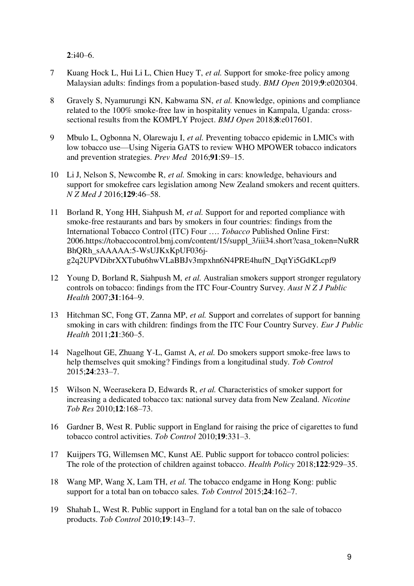**[2](http://paperpile.com/b/cnKEzq/sDQmW)**[:i40](http://paperpile.com/b/cnKEzq/sDQmW)–6.

- 7 [Kuang Hock L, Hui Li L, Chien Huey T,](http://paperpile.com/b/cnKEzq/qD1y6) *[et al.](http://paperpile.com/b/cnKEzq/qD1y6)* [Support for smoke-free policy among](http://paperpile.com/b/cnKEzq/qD1y6)  [Malaysian adults: findings from a population-based study.](http://paperpile.com/b/cnKEzq/qD1y6) *[BMJ Open](http://paperpile.com/b/cnKEzq/qD1y6)* [2019;](http://paperpile.com/b/cnKEzq/qD1y6)**[9](http://paperpile.com/b/cnKEzq/qD1y6)**[:e020304.](http://paperpile.com/b/cnKEzq/qD1y6)
- 8 [Gravely S, Nyamurungi KN, Kabwama SN,](http://paperpile.com/b/cnKEzq/NSd1w) *[et al.](http://paperpile.com/b/cnKEzq/NSd1w)* [Knowledge, opinions and compliance](http://paperpile.com/b/cnKEzq/NSd1w)  [related to the 100% smoke-free law in hospitality venues in Kampala, Uganda: cross](http://paperpile.com/b/cnKEzq/NSd1w)[sectional results from the KOMPLY Project.](http://paperpile.com/b/cnKEzq/NSd1w) *[BMJ Open](http://paperpile.com/b/cnKEzq/NSd1w)* [2018;](http://paperpile.com/b/cnKEzq/NSd1w)**[8](http://paperpile.com/b/cnKEzq/NSd1w)**[:e017601.](http://paperpile.com/b/cnKEzq/NSd1w)
- 9 [Mbulo L, Ogbonna N, Olarewaju I,](http://paperpile.com/b/cnKEzq/kwWH5) *[et al.](http://paperpile.com/b/cnKEzq/kwWH5)* [Preventing tobacco epidemic in LMICs with](http://paperpile.com/b/cnKEzq/kwWH5)  low tobacco use—[Using Nigeria GATS to review WHO MPOWER tobacco indicators](http://paperpile.com/b/cnKEzq/kwWH5)  [and prevention strategies.](http://paperpile.com/b/cnKEzq/kwWH5) *[Prev Med](http://paperpile.com/b/cnKEzq/kwWH5)* [2016;](http://paperpile.com/b/cnKEzq/kwWH5)**[91](http://paperpile.com/b/cnKEzq/kwWH5)**:S9–[15.](http://paperpile.com/b/cnKEzq/kwWH5)
- 10 [Li J, Nelson S, Newcombe R,](http://paperpile.com/b/cnKEzq/FlSdf) *[et al.](http://paperpile.com/b/cnKEzq/FlSdf)* [Smoking in cars: knowledge, behaviours and](http://paperpile.com/b/cnKEzq/FlSdf)  [support for smokefree cars legislation among New Zealand smokers and recent quitters.](http://paperpile.com/b/cnKEzq/FlSdf)  *[N Z Med J](http://paperpile.com/b/cnKEzq/FlSdf)* [2016;](http://paperpile.com/b/cnKEzq/FlSdf)**[129](http://paperpile.com/b/cnKEzq/FlSdf)**:46–[58.](http://paperpile.com/b/cnKEzq/FlSdf)
- 11 [Borland R, Yong HH, Siahpush M,](http://paperpile.com/b/cnKEzq/KfQsa) *[et al.](http://paperpile.com/b/cnKEzq/KfQsa)* [Support for and reported compliance with](http://paperpile.com/b/cnKEzq/KfQsa)  [smoke-free restaurants and bars by smokers in four countries: findings from the](http://paperpile.com/b/cnKEzq/KfQsa)  [International Tobacco Control \(ITC\) Four ….](http://paperpile.com/b/cnKEzq/KfQsa) *[Tobacco](http://paperpile.com/b/cnKEzq/KfQsa)* [Published Online First:](http://paperpile.com/b/cnKEzq/KfQsa)  [2006.](http://paperpile.com/b/cnKEzq/KfQsa)[https://tobaccocontrol.bmj.com/content/15/suppl\\_3/iii34.short?casa\\_token=NuRR](https://tobaccocontrol.bmj.com/content/15/suppl_3/iii34.short?casa_token=NuRRBhQRh_sAAAAA:5-WsUJKxKpUF036j-g2q2UPVDibrXXTubu6hwVLaBBJv3mpxhn6N4PRE4hufN_DqtYi5GdKLcpf9) [BhQRh\\_sAAAAA:5-WsUJKxKpUF036j](https://tobaccocontrol.bmj.com/content/15/suppl_3/iii34.short?casa_token=NuRRBhQRh_sAAAAA:5-WsUJKxKpUF036j-g2q2UPVDibrXXTubu6hwVLaBBJv3mpxhn6N4PRE4hufN_DqtYi5GdKLcpf9)[g2q2UPVDibrXXTubu6hwVLaBBJv3mpxhn6N4PRE4hufN\\_DqtYi5GdKLcpf9](https://tobaccocontrol.bmj.com/content/15/suppl_3/iii34.short?casa_token=NuRRBhQRh_sAAAAA:5-WsUJKxKpUF036j-g2q2UPVDibrXXTubu6hwVLaBBJv3mpxhn6N4PRE4hufN_DqtYi5GdKLcpf9)
- 12 [Young D, Borland R, Siahpush M,](http://paperpile.com/b/cnKEzq/PwGqL) *[et al.](http://paperpile.com/b/cnKEzq/PwGqL)* [Australian smokers support stronger regulatory](http://paperpile.com/b/cnKEzq/PwGqL)  [controls on tobacco: findings from the ITC Four-Country Survey.](http://paperpile.com/b/cnKEzq/PwGqL) *[Aust N Z J Public](http://paperpile.com/b/cnKEzq/PwGqL)  [Health](http://paperpile.com/b/cnKEzq/PwGqL)* [2007;](http://paperpile.com/b/cnKEzq/PwGqL)**[31](http://paperpile.com/b/cnKEzq/PwGqL)**[:164](http://paperpile.com/b/cnKEzq/PwGqL)–9.
- 13 [Hitchman SC, Fong GT, Zanna MP,](http://paperpile.com/b/cnKEzq/9cuSb) *[et al.](http://paperpile.com/b/cnKEzq/9cuSb)* [Support and correlates of support for banning](http://paperpile.com/b/cnKEzq/9cuSb)  [smoking in cars with children: findings from the ITC Four Country Survey.](http://paperpile.com/b/cnKEzq/9cuSb) *[Eur J Public](http://paperpile.com/b/cnKEzq/9cuSb)  [Health](http://paperpile.com/b/cnKEzq/9cuSb)* [2011;](http://paperpile.com/b/cnKEzq/9cuSb)**[21](http://paperpile.com/b/cnKEzq/9cuSb)**[:360](http://paperpile.com/b/cnKEzq/9cuSb)–5.
- 14 [Nagelhout GE, Zhuang Y-L, Gamst A,](http://paperpile.com/b/cnKEzq/wF0UJ) *[et al.](http://paperpile.com/b/cnKEzq/wF0UJ)* [Do smokers support smoke-free laws to](http://paperpile.com/b/cnKEzq/wF0UJ)  [help themselves quit smoking? Findings from a longitudinal study.](http://paperpile.com/b/cnKEzq/wF0UJ) *[Tob Control](http://paperpile.com/b/cnKEzq/wF0UJ)* [2015;](http://paperpile.com/b/cnKEzq/wF0UJ)**[24](http://paperpile.com/b/cnKEzq/wF0UJ)**[:233](http://paperpile.com/b/cnKEzq/wF0UJ)–7.
- 15 [Wilson N, Weerasekera D, Edwards R,](http://paperpile.com/b/cnKEzq/dcRHv) *[et al.](http://paperpile.com/b/cnKEzq/dcRHv)* [Characteristics of smoker support for](http://paperpile.com/b/cnKEzq/dcRHv)  [increasing a dedicated tobacco tax: national survey data from New Zealand.](http://paperpile.com/b/cnKEzq/dcRHv) *[Nicotine](http://paperpile.com/b/cnKEzq/dcRHv)  [Tob Res](http://paperpile.com/b/cnKEzq/dcRHv)* [2010;](http://paperpile.com/b/cnKEzq/dcRHv)**[12](http://paperpile.com/b/cnKEzq/dcRHv)**[:168](http://paperpile.com/b/cnKEzq/dcRHv)–73.
- 16 [Gardner B, West R. Public support in England for raising the price of cigarettes to fund](http://paperpile.com/b/cnKEzq/BlDwF)  [tobacco control activities.](http://paperpile.com/b/cnKEzq/BlDwF) *[Tob Control](http://paperpile.com/b/cnKEzq/BlDwF)* [2010;](http://paperpile.com/b/cnKEzq/BlDwF)**[19](http://paperpile.com/b/cnKEzq/BlDwF)**[:331](http://paperpile.com/b/cnKEzq/BlDwF)–3.
- 17 [Kuijpers TG, Willemsen MC, Kunst AE. Public support for tobacco control policies:](http://paperpile.com/b/cnKEzq/POank)  [The role of the protection of children against tobacco.](http://paperpile.com/b/cnKEzq/POank) *[Health Policy](http://paperpile.com/b/cnKEzq/POank)* [2018;](http://paperpile.com/b/cnKEzq/POank)**[122](http://paperpile.com/b/cnKEzq/POank)**[:929](http://paperpile.com/b/cnKEzq/POank)–35.
- 18 [Wang MP, Wang X, Lam TH,](http://paperpile.com/b/cnKEzq/jvK2j) *[et al.](http://paperpile.com/b/cnKEzq/jvK2j)* [The tobacco endgame in Hong Kong: public](http://paperpile.com/b/cnKEzq/jvK2j)  [support for a total ban on tobacco sales.](http://paperpile.com/b/cnKEzq/jvK2j) *[Tob Control](http://paperpile.com/b/cnKEzq/jvK2j)* [2015;](http://paperpile.com/b/cnKEzq/jvK2j)**[24](http://paperpile.com/b/cnKEzq/jvK2j)**[:162](http://paperpile.com/b/cnKEzq/jvK2j)–7.
- 19 [Shahab L, West R. Public support in England for a total ban on the sale of tobacco](http://paperpile.com/b/cnKEzq/tICDj)  [products.](http://paperpile.com/b/cnKEzq/tICDj) *[Tob Control](http://paperpile.com/b/cnKEzq/tICDj)* [2010;](http://paperpile.com/b/cnKEzq/tICDj)**[19](http://paperpile.com/b/cnKEzq/tICDj)**[:143](http://paperpile.com/b/cnKEzq/tICDj)–7.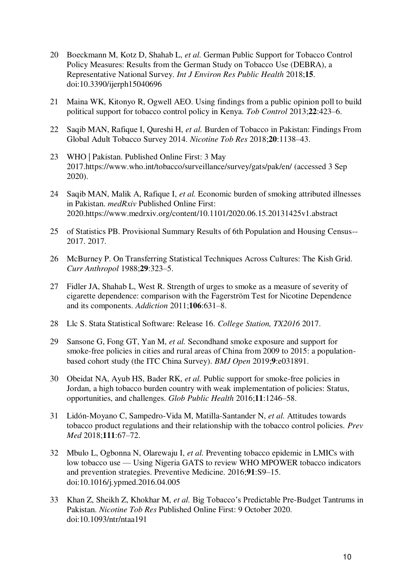- 20 [Boeckmann M, Kotz D, Shahab L,](http://paperpile.com/b/cnKEzq/8DDbQ) *[et al.](http://paperpile.com/b/cnKEzq/8DDbQ)* [German Public Support for Tobacco Control](http://paperpile.com/b/cnKEzq/8DDbQ)  [Policy Measures: Results from the German Study on Tobacco Use \(DEBRA\), a](http://paperpile.com/b/cnKEzq/8DDbQ)  [Representative National Survey.](http://paperpile.com/b/cnKEzq/8DDbQ) *[Int J Environ Res Public Health](http://paperpile.com/b/cnKEzq/8DDbQ)* [2018;](http://paperpile.com/b/cnKEzq/8DDbQ)**[15](http://paperpile.com/b/cnKEzq/8DDbQ)**[.](http://paperpile.com/b/cnKEzq/8DDbQ)  [doi:](http://paperpile.com/b/cnKEzq/8DDbQ)[10.3390/ijerph15040696](http://dx.doi.org/10.3390/ijerph15040696)
- 21 [Maina WK, Kitonyo R, Ogwell AEO. Using findings from a public opinion poll to build](http://paperpile.com/b/cnKEzq/fPZq8)  [political support for tobacco control policy in Kenya.](http://paperpile.com/b/cnKEzq/fPZq8) *[Tob Control](http://paperpile.com/b/cnKEzq/fPZq8)* [2013;](http://paperpile.com/b/cnKEzq/fPZq8)**[22](http://paperpile.com/b/cnKEzq/fPZq8)**[:423](http://paperpile.com/b/cnKEzq/fPZq8)–6.
- 22 [Saqib MAN, Rafique I, Qureshi H,](http://paperpile.com/b/cnKEzq/2bZp8) *[et al.](http://paperpile.com/b/cnKEzq/2bZp8)* [Burden of Tobacco in Pakistan: Findings From](http://paperpile.com/b/cnKEzq/2bZp8)  [Global Adult Tobacco Survey 2014.](http://paperpile.com/b/cnKEzq/2bZp8) *[Nicotine Tob Res](http://paperpile.com/b/cnKEzq/2bZp8)* [2018;](http://paperpile.com/b/cnKEzq/2bZp8)**[20](http://paperpile.com/b/cnKEzq/2bZp8)**[:1138](http://paperpile.com/b/cnKEzq/2bZp8)–43.
- 23 [WHO | Pakistan. Published Online First: 3 May](http://paperpile.com/b/cnKEzq/MwHxA)  [2017.](http://paperpile.com/b/cnKEzq/MwHxA)<https://www.who.int/tobacco/surveillance/survey/gats/pak/en/> [\(accessed 3 Sep](http://paperpile.com/b/cnKEzq/MwHxA)  [2020\).](http://paperpile.com/b/cnKEzq/MwHxA)
- 24 [Saqib MAN, Malik A, Rafique I,](http://paperpile.com/b/cnKEzq/UdFT0) *[et al.](http://paperpile.com/b/cnKEzq/UdFT0)* [Economic burden of smoking attributed illnesses](http://paperpile.com/b/cnKEzq/UdFT0)  [in Pakistan.](http://paperpile.com/b/cnKEzq/UdFT0) *[medRxiv](http://paperpile.com/b/cnKEzq/UdFT0)* [Published Online First:](http://paperpile.com/b/cnKEzq/UdFT0)  [2020.](http://paperpile.com/b/cnKEzq/UdFT0)<https://www.medrxiv.org/content/10.1101/2020.06.15.20131425v1.abstract>
- 25 [of Statistics PB. Provisional Summary Results of 6th Population and Housing Census--](http://paperpile.com/b/cnKEzq/9C5Y3) [2017. 2017.](http://paperpile.com/b/cnKEzq/9C5Y3)
- 26 [McBurney P. On Transferring Statistical Techniques Across Cultures: The Kish Grid.](http://paperpile.com/b/cnKEzq/XrsqI)  *[Curr Anthropol](http://paperpile.com/b/cnKEzq/XrsqI)* [1988;](http://paperpile.com/b/cnKEzq/XrsqI)**[29](http://paperpile.com/b/cnKEzq/XrsqI)**[:323](http://paperpile.com/b/cnKEzq/XrsqI)–5.
- 27 [Fidler JA, Shahab L, West R. Strength of urges to smoke as a measure of severity of](http://paperpile.com/b/cnKEzq/ik8ZD)  [cigarette dependence: comparison with the Fagerström Test for Nicotine Dependence](http://paperpile.com/b/cnKEzq/ik8ZD)  [and its components.](http://paperpile.com/b/cnKEzq/ik8ZD) *[Addiction](http://paperpile.com/b/cnKEzq/ik8ZD)* [2011;](http://paperpile.com/b/cnKEzq/ik8ZD)**[106](http://paperpile.com/b/cnKEzq/ik8ZD)**[:631](http://paperpile.com/b/cnKEzq/ik8ZD)–8.
- 28 [Llc S. Stata Statistical Software: Release 16.](http://paperpile.com/b/cnKEzq/SpMDU) *[College Station, TX2016](http://paperpile.com/b/cnKEzq/SpMDU)* [2017.](http://paperpile.com/b/cnKEzq/SpMDU)
- 29 [Sansone G, Fong GT, Yan M,](http://paperpile.com/b/cnKEzq/UZV1N) *[et al.](http://paperpile.com/b/cnKEzq/UZV1N)* [Secondhand smoke exposure and support for](http://paperpile.com/b/cnKEzq/UZV1N)  [smoke-free policies in cities and rural areas of China from 2009 to 2015: a population](http://paperpile.com/b/cnKEzq/UZV1N)[based cohort study \(the ITC China Survey\).](http://paperpile.com/b/cnKEzq/UZV1N) *[BMJ Open](http://paperpile.com/b/cnKEzq/UZV1N)* [2019;](http://paperpile.com/b/cnKEzq/UZV1N)**[9](http://paperpile.com/b/cnKEzq/UZV1N)**[:e031891.](http://paperpile.com/b/cnKEzq/UZV1N)
- 30 [Obeidat NA, Ayub HS, Bader RK,](http://paperpile.com/b/cnKEzq/GDEJ7) *[et al.](http://paperpile.com/b/cnKEzq/GDEJ7)* [Public support for smoke-free policies in](http://paperpile.com/b/cnKEzq/GDEJ7)  [Jordan, a high tobacco burden country with weak implementation of policies: Status,](http://paperpile.com/b/cnKEzq/GDEJ7)  [opportunities, and challenges.](http://paperpile.com/b/cnKEzq/GDEJ7) *[Glob Public Health](http://paperpile.com/b/cnKEzq/GDEJ7)* [2016;](http://paperpile.com/b/cnKEzq/GDEJ7)**[11](http://paperpile.com/b/cnKEzq/GDEJ7)**[:1246](http://paperpile.com/b/cnKEzq/GDEJ7)–58.
- 31 [Lidón-Moyano C, Sampedro-Vida M, Matilla-Santander N,](http://paperpile.com/b/cnKEzq/bRR60) *[et al.](http://paperpile.com/b/cnKEzq/bRR60)* [Attitudes towards](http://paperpile.com/b/cnKEzq/bRR60)  [tobacco product regulations and their relationship with the tobacco control policies.](http://paperpile.com/b/cnKEzq/bRR60) *[Prev](http://paperpile.com/b/cnKEzq/bRR60)  [Med](http://paperpile.com/b/cnKEzq/bRR60)* [2018;](http://paperpile.com/b/cnKEzq/bRR60)**[111](http://paperpile.com/b/cnKEzq/bRR60)**:67–[72.](http://paperpile.com/b/cnKEzq/bRR60)
- 32 [Mbulo L, Ogbonna N, Olarewaju I,](http://paperpile.com/b/cnKEzq/fl3Au) *[et al.](http://paperpile.com/b/cnKEzq/fl3Au)* [Preventing tobacco epidemic in LMICs with](http://paperpile.com/b/cnKEzq/fl3Au)  low tobacco use — [Using Nigeria GATS to review WHO MPOWER tobacco indicators](http://paperpile.com/b/cnKEzq/fl3Au)  [and prevention strategies. Preventive Medicine. 2016;](http://paperpile.com/b/cnKEzq/fl3Au)**[91](http://paperpile.com/b/cnKEzq/fl3Au)**:S9–[15.](http://paperpile.com/b/cnKEzq/fl3Au)  [doi:](http://paperpile.com/b/cnKEzq/fl3Au)[10.1016/j.ypmed.2016.04.005](http://dx.doi.org/10.1016/j.ypmed.2016.04.005)
- 33 [Khan Z, Sheikh Z, Khokhar M,](http://paperpile.com/b/cnKEzq/hccZ6) *[et al.](http://paperpile.com/b/cnKEzq/hccZ6)* [Big Tobacco's Predictable Pre](http://paperpile.com/b/cnKEzq/hccZ6)-Budget Tantrums in [Pakistan.](http://paperpile.com/b/cnKEzq/hccZ6) *[Nicotine Tob Res](http://paperpile.com/b/cnKEzq/hccZ6)* [Published Online First: 9 October 2020.](http://paperpile.com/b/cnKEzq/hccZ6)  [doi:](http://paperpile.com/b/cnKEzq/hccZ6)[10.1093/ntr/ntaa191](http://dx.doi.org/10.1093/ntr/ntaa191)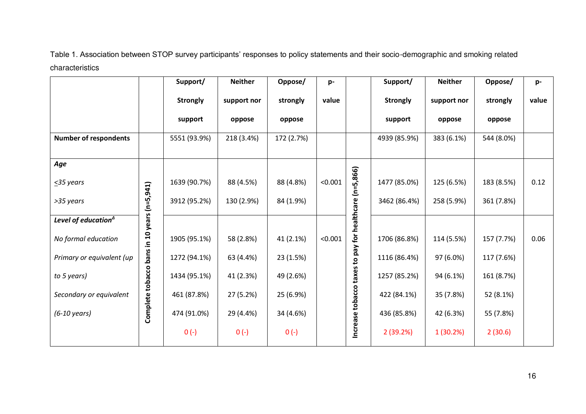Table 1. Association between STOP survey participants' responses to policy statements and their socio-demographic and smoking related characteristics

|                                |                                             | Support/        | <b>Neither</b> | Oppose/    | p-      |                                                        | Support/        | <b>Neither</b> | Oppose/    | p-    |
|--------------------------------|---------------------------------------------|-----------------|----------------|------------|---------|--------------------------------------------------------|-----------------|----------------|------------|-------|
|                                |                                             | <b>Strongly</b> | support nor    | strongly   | value   |                                                        | <b>Strongly</b> | support nor    | strongly   | value |
|                                |                                             | support         | oppose         | oppose     |         |                                                        | support         | oppose         | oppose     |       |
| <b>Number of respondents</b>   |                                             | 5551 (93.9%)    | 218 (3.4%)     | 172 (2.7%) |         |                                                        | 4939 (85.9%)    | 383 (6.1%)     | 544 (8.0%) |       |
| Age                            |                                             |                 |                |            |         |                                                        |                 |                |            |       |
| $\leq$ 35 years                |                                             | 1639 (90.7%)    | 88 (4.5%)      | 88 (4.8%)  | < 0.001 |                                                        | 1477 (85.0%)    | 125 (6.5%)     | 183 (8.5%) | 0.12  |
| >35 years                      | Complete tobacco bans in 10 years (n=5,941) | 3912 (95.2%)    | 130 (2.9%)     | 84 (1.9%)  |         | Increase tobacco taxes to pay for healthcare (n=5,866) | 3462 (86.4%)    | 258 (5.9%)     | 361 (7.8%) |       |
| Level of education $\triangle$ |                                             |                 |                |            |         |                                                        |                 |                |            |       |
| No formal education            |                                             | 1905 (95.1%)    | 58 (2.8%)      | 41 (2.1%)  | < 0.001 |                                                        | 1706 (86.8%)    | 114 (5.5%)     | 157 (7.7%) | 0.06  |
| Primary or equivalent (up      |                                             | 1272 (94.1%)    | 63 (4.4%)      | 23 (1.5%)  |         |                                                        | 1116 (86.4%)    | 97 (6.0%)      | 117 (7.6%) |       |
| to 5 years)                    |                                             | 1434 (95.1%)    | 41 (2.3%)      | 49 (2.6%)  |         |                                                        | 1257 (85.2%)    | 94 (6.1%)      | 161 (8.7%) |       |
| Secondary or equivalent        |                                             | 461 (87.8%)     | 27 (5.2%)      | 25 (6.9%)  |         |                                                        | 422 (84.1%)     | 35 (7.8%)      | 52 (8.1%)  |       |
| $(6-10 \text{ years})$         |                                             | 474 (91.0%)     | 29 (4.4%)      | 34 (4.6%)  |         |                                                        | 436 (85.8%)     | 42 (6.3%)      | 55 (7.8%)  |       |
|                                |                                             | $0 (-)$         | $0 (-)$        | $0 (-)$    |         |                                                        | 2(39.2%)        | 1(30.2%)       | 2(30.6)    |       |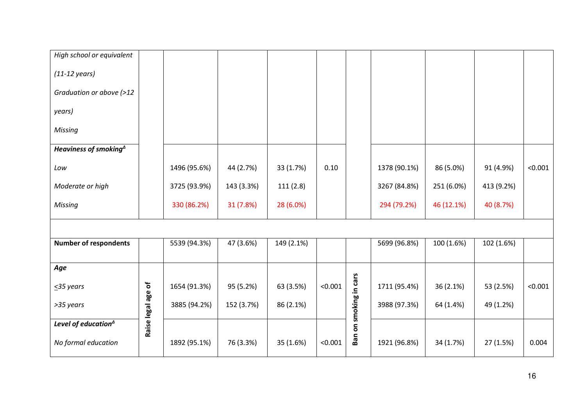| High school or equivalent         |                    |              |            |            |         |                        |              |            |            |         |
|-----------------------------------|--------------------|--------------|------------|------------|---------|------------------------|--------------|------------|------------|---------|
| $(11-12 \text{ years})$           |                    |              |            |            |         |                        |              |            |            |         |
| Graduation or above (>12          |                    |              |            |            |         |                        |              |            |            |         |
| years)                            |                    |              |            |            |         |                        |              |            |            |         |
| Missing                           |                    |              |            |            |         |                        |              |            |            |         |
| Heaviness of smoking <sup>4</sup> |                    |              |            |            |         |                        |              |            |            |         |
| Low                               |                    | 1496 (95.6%) | 44 (2.7%)  | 33 (1.7%)  | 0.10    |                        | 1378 (90.1%) | 86 (5.0%)  | 91 (4.9%)  | < 0.001 |
| Moderate or high                  |                    | 3725 (93.9%) | 143 (3.3%) | 111(2.8)   |         |                        | 3267 (84.8%) | 251 (6.0%) | 413 (9.2%) |         |
| Missing                           |                    | 330 (86.2%)  | 31 (7.8%)  | 28 (6.0%)  |         |                        | 294 (79.2%)  | 46 (12.1%) | 40 (8.7%)  |         |
|                                   |                    |              |            |            |         |                        |              |            |            |         |
| <b>Number of respondents</b>      |                    | 5539 (94.3%) | 47 (3.6%)  | 149 (2.1%) |         |                        | 5699 (96.8%) | 100 (1.6%) | 102 (1.6%) |         |
| Age                               |                    |              |            |            |         |                        |              |            |            |         |
| $\leq$ 35 years                   |                    | 1654 (91.3%) | 95 (5.2%)  | 63 (3.5%)  | < 0.001 |                        | 1711 (95.4%) | 36 (2.1%)  | 53 (2.5%)  | < 0.001 |
| >35 years                         | Raise legal age of | 3885 (94.2%) | 152 (3.7%) | 86 (2.1%)  |         | Ban on smoking in cars | 3988 (97.3%) | 64 (1.4%)  | 49 (1.2%)  |         |
| Level of education <sup>1</sup>   |                    |              |            |            |         |                        |              |            |            |         |
| No formal education               |                    | 1892 (95.1%) | 76 (3.3%)  | 35 (1.6%)  | < 0.001 |                        | 1921 (96.8%) | 34 (1.7%)  | 27 (1.5%)  | 0.004   |